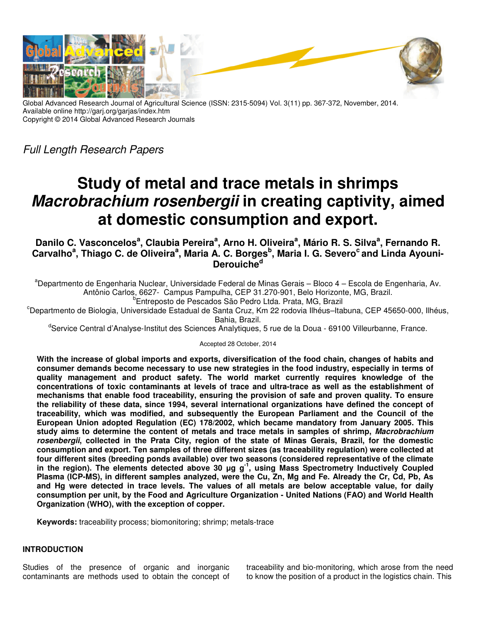

Global Advanced Research Journal of Agricultural Science (ISSN: 2315-5094) Vol. 3(11) pp. 367-372, November, 2014. Available online http://garj.org/garjas/index.htm Copyright © 2014 Global Advanced Research Journals

Full Length Research Papers

# **Study of metal and trace metals in shrimps Macrobrachium rosenbergii in creating captivity, aimed at domestic consumption and export.**

**Danilo C. Vasconcelos<sup>a</sup> , Claubia Pereira<sup>a</sup> , Arno H. Oliveira<sup>a</sup> , Mário R. S. Silva<sup>a</sup> , Fernando R. Carvalho<sup>a</sup> , Thiago C. de Oliveira<sup>a</sup> , Maria A. C. Borges<sup>b</sup> , Maria I. G. Severo<sup>c</sup>and Linda Ayouni-Derouiche<sup>d</sup>**

<sup>a</sup>Departmento de Engenharia Nuclear, Universidade Federal de Minas Gerais – Bloco 4 – Escola de Engenharia, Av. Antônio Carlos, 6627- Campus Pampulha, CEP 31.270-901, Belo Horizonte, MG, Brazil. b Entreposto de Pescados São Pedro Ltda. Prata, MG, Brazil

<sup>c</sup>Departmento de Biologia, Universidade Estadual de Santa Cruz, Km 22 rodovia Ilhéus–Itabuna, CEP 45650-000, Ilhéus, Bahia, Brazil.

<sup>d</sup>Service Central d'Analyse-Institut des Sciences Analytiques, 5 rue de la Doua - 69100 Villeurbanne, France.

Accepted 28 October, 2014

**With the increase of global imports and exports, diversification of the food chain, changes of habits and consumer demands become necessary to use new strategies in the food industry, especially in terms of quality management and product safety. The world market currently requires knowledge of the concentrations of toxic contaminants at levels of trace and ultra-trace as well as the establishment of mechanisms that enable food traceability, ensuring the provision of safe and proven quality. To ensure the reliability of these data, since 1994, several international organizations have defined the concept of traceability, which was modified, and subsequently the European Parliament and the Council of the European Union adopted Regulation (EC) 178/2002, which became mandatory from January 2005. This study aims to determine the content of metals and trace metals in samples of shrimp, Macrobrachium rosenbergii, collected in the Prata City, region of the state of Minas Gerais, Brazil, for the domestic consumption and export. Ten samples of three different sizes (as traceability regulation) were collected at four different sites (breeding ponds available) over two seasons (considered representative of the climate in the region). The elements detected above 30 µg g-1, using Mass Spectrometry Inductively Coupled Plasma (ICP-MS), in different samples analyzed, were the Cu, Zn, Mg and Fe. Already the Cr, Cd, Pb, As and Hg were detected in trace levels. The values of all metals are below acceptable value, for daily consumption per unit, by the Food and Agriculture Organization - United Nations (FAO) and World Health Organization (WHO), with the exception of copper.** 

**Keywords:** traceability process; biomonitoring; shrimp; metals-trace

# **INTRODUCTION**

Studies of the presence of organic and inorganic contaminants are methods used to obtain the concept of traceability and bio-monitoring, which arose from the need to know the position of a product in the logistics chain. This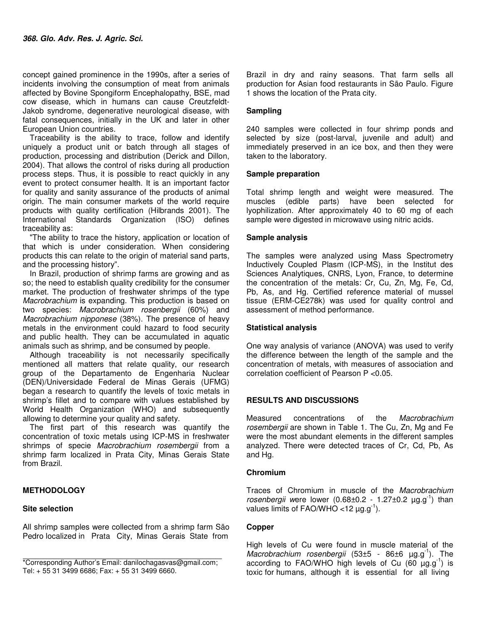concept gained prominence in the 1990s, after a series of incidents involving the consumption of meat from animals affected by Bovine Spongiform Encephalopathy, BSE, mad cow disease, which in humans can cause Creutzfeldt-Jakob syndrome, degenerative neurological disease, with fatal consequences, initially in the UK and later in other European Union countries.

Traceability is the ability to trace, follow and identify uniquely a product unit or batch through all stages of production, processing and distribution (Derick and Dillon, 2004). That allows the control of risks during all production process steps. Thus, it is possible to react quickly in any event to protect consumer health. It is an important factor for quality and sanity assurance of the products of animal origin. The main consumer markets of the world require products with quality certification (Hilbrands 2001). The International Standards Organization (ISO) defines traceability as:

"The ability to trace the history, application or location of that which is under consideration. When considering products this can relate to the origin of material sand parts, and the processing history".

In Brazil, production of shrimp farms are growing and as so; the need to establish quality credibility for the consumer market. The production of freshwater shrimps of the type Macrobrachium is expanding. This production is based on two species: Macrobrachium rosenbergii (60%) and Macrobrachium nipponese (38%). The presence of heavy metals in the environment could hazard to food security and public health. They can be accumulated in aquatic animals such as shrimp, and be consumed by people.

Although traceability is not necessarily specifically mentioned all matters that relate quality, our research group of the Departamento de Engenharia Nuclear (DEN)/Universidade Federal de Minas Gerais (UFMG) began a research to quantify the levels of toxic metals in shrimp's fillet and to compare with values established by World Health Organization (WHO) and subsequently allowing to determine your quality and safety.

The first part of this research was quantify the concentration of toxic metals using ICP-MS in freshwater shrimps of specie Macrobrachium rosembergii from a shrimp farm localized in Prata City, Minas Gerais State from Brazil.

# **METHODOLOGY**

# **Site selection**

All shrimp samples were collected from a shrimp farm São Pedro localized in Prata City, Minas Gerais State from

Brazil in dry and rainy seasons. That farm sells all production for Asian food restaurants in São Paulo. Figure 1 shows the location of the Prata city.

### **Sampling**

240 samples were collected in four shrimp ponds and selected by size (post-larval, juvenile and adult) and immediately preserved in an ice box, and then they were taken to the laboratory.

#### **Sample preparation**

Total shrimp length and weight were measured. The muscles (edible parts) have been selected for lyophilization. After approximately 40 to 60 mg of each sample were digested in microwave using nitric acids.

#### **Sample analysis**

The samples were analyzed using Mass Spectrometry Inductively Coupled Plasm (ICP-MS), in the Institut des Sciences Analytiques, CNRS, Lyon, France, to determine the concentration of the metals: Cr, Cu, Zn, Mg, Fe, Cd, Pb, As, and Hg. Certified reference material of mussel tissue (ERM-CE278k) was used for quality control and assessment of method performance.

# **Statistical analysis**

One way analysis of variance (ANOVA) was used to verify the difference between the length of the sample and the concentration of metals, with measures of association and correlation coefficient of Pearson P <0.05.

# **RESULTS AND DISCUSSIONS**

Measured concentrations of the Macrobrachium rosembergii are shown in Table 1. The Cu, Zn, Mg and Fe were the most abundant elements in the different samples analyzed. There were detected traces of Cr, Cd, Pb, As and Hg.

#### **Chromium**

Traces of Chromium in muscle of the Macrobrachium rosenbergii were lower  $(0.68\pm0.2 - 1.27\pm0.2 \mu g.g^{-1})$  than values limits of FAO/WHO <12  $\mu$ g.g<sup>-1</sup>).

# **Copper**

High levels of Cu were found in muscle material of the Macrobrachium rosenbergii (53 $\pm$ 5 - 86 $\pm$ 6 µg.g<sup>-1</sup>). The according to FAO/WHO high levels of Cu  $(60 \mu q.q^{-1})$  is toxic for humans, although it is essential for all living

<sup>\*</sup>Corresponding Author's Email: danilochagasvas@gmail.com; Tel: + 55 31 3499 6686; Fax: + 55 31 3499 6660.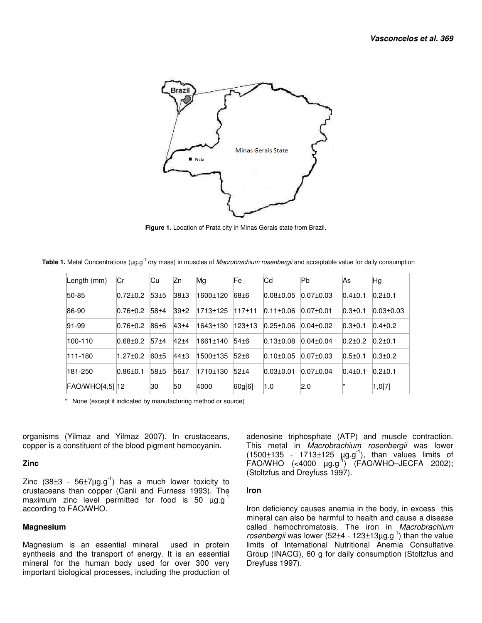

 **Figure 1.** Location of Prata city in Minas Gerais state from Brazil.

Table 1. Metal Concentrations (µg.g<sup>-1</sup> dry mass) in muscles of *Macrobrachium rosenbergii* and acceptable value for daily consumption

| Length (mm)       | ∣Cr            | Сu               | lZn      | Mg       | Fe               | lCd             | lPb             | <b>As</b>     | Hg               |
|-------------------|----------------|------------------|----------|----------|------------------|-----------------|-----------------|---------------|------------------|
| $ 50-85 $         | $0.72 \pm 0.2$ | 53±5             | $38+3$   | 1600±120 | 68 <sup>+6</sup> | $0.08 + 0.05$   | $0.07 \pm 0.03$ | $0.4 + 0.1$   | $0.2 + 0.1$      |
| 86-90             | $0.76 \pm 0.2$ | 58 <sub>±4</sub> | $39+2$   | 1713±125 | 117±11           | $0.11 \pm 0.06$ | $0.07 \pm 0.01$ | $0.3 \pm 0.1$ | $ 0.03 \pm 0.03$ |
| $ 91 - 99$        | $0.76 \pm 0.2$ | $86 + 6$         | $43 + 4$ | 1643±130 | 123±13           | $0.25 \pm 0.06$ | $0.04 \pm 0.02$ | $0.3 + 0.1$   | $0.4 \pm 0.2$    |
| 100-110           | $0.68 + 0.2$   | 57±4             | $42 + 4$ | 1661±140 | 54 <sup>+6</sup> | $0.13 \pm 0.08$ | $0.04 \pm 0.04$ | $0.2 + 0.2$   | $0.2 + 0.1$      |
| 111-180           | $1.27 \pm 0.2$ | $60 + 5$         | $44+3$   | 1500±135 | $52+6$           | $0.10 \pm 0.05$ | $0.07 \pm 0.03$ | $0.5 + 0.1$   | $0.3 + 0.2$      |
| 181-250           | $0.86 \pm 0.1$ | 58 <sub>±5</sub> | 56±7     | 1710±130 | $52 + 4$         | $0.03 \pm 0.01$ | $0.07 \pm 0.04$ | $0.4 \pm 0.1$ | $0.2 \pm 0.1$    |
| $FAO/WHO[4,5]$ 12 |                | 30               | 50       | 4000     | [60g[6]          | 1.0             | 2.0             | ∣∗            | 1,0[7]           |

\* None (except if indicated by manufacturing method or source)

organisms (Yilmaz and Yilmaz 2007). In crustaceans, copper is a constituent of the blood pigment hemocyanin.

#### **Zinc**

Zinc  $(38\pm3 - 56\pm7\mu g.g^{-1})$  has a much lower toxicity to crustaceans than copper (Canli and Furness 1993). The maximum zinc level permitted for food is 50  $\mu$ g.g<sup>-1</sup> according to FAO/WHO.

#### **Magnesium**

Magnesium is an essential mineral used in protein synthesis and the transport of energy. It is an essential mineral for the human body used for over 300 very important biological processes, including the production of adenosine triphosphate (ATP) and muscle contraction. This metal in Macrobrachium rosenbergii was lower  $(1500\pm135 - 1713\pm125 \mu g. g^{-1})$ , than values limits of FAO/WHO  $(\leq 4000 \text{ }\mu\text{g}.\text{g}^{-1})$  (FAO/WHO-JECFA 2002); (Stoltzfus and Dreyfuss 1997).

#### **Iron**

Iron deficiency causes anemia in the body, in excess this mineral can also be harmful to health and cause a disease called hemochromatosis. The iron in *Macrobrachium* rosenbergii was lower (52±4 - 123±13 $\mu$ g.g<sup>-1</sup>) than the value limits of International Nutritional Anemia Consultative Group (INACG), 60 g for daily consumption (Stoltzfus and Dreyfuss 1997).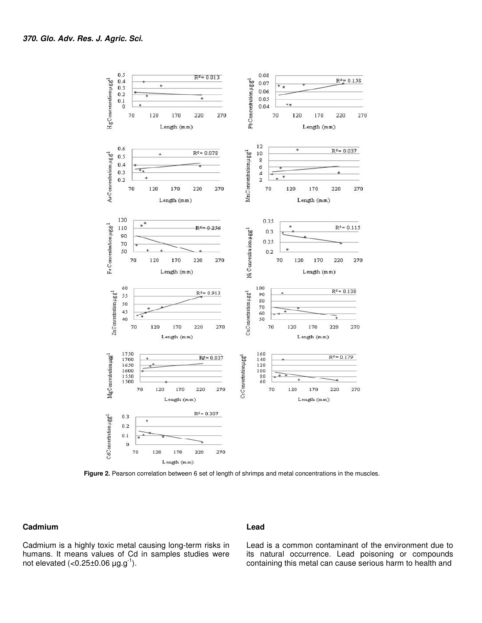

 **Figure 2.** Pearson correlation between 6 set of length of shrimps and metal concentrations in the muscles.

#### **Cadmium**

Cadmium is a highly toxic metal causing long-term risks in humans. It means values of Cd in samples studies were not elevated  $\left( < 0.25 \pm 0.06 \, \mu \text{g} \cdot \text{g}^{-1} \right)$ .

#### **Lead**

Lead is a common contaminant of the environment due to its natural occurrence. Lead poisoning or compounds containing this metal can cause serious harm to health and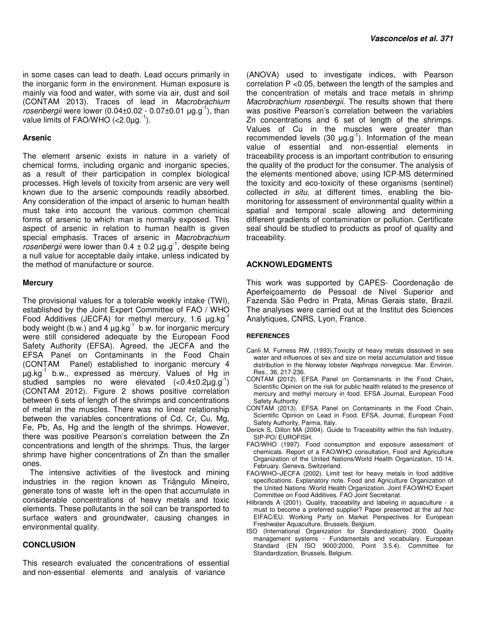in some cases can lead to death. Lead occurs primarily in the inorganic form in the environment. Human exposure is mainly via food and water, with some via air, dust and soil (CONTAM 2013). Traces of lead in Macrobrachium rosenbergii were lower  $(0.04\pm0.02 - 0.07\pm0.01 \mu g.g^{-1})$ , than value limits of FAO/WHO (<2.0µg.-1).

# **Arsenic**

The element arsenic exists in nature in a variety of chemical forms, including organic and inorganic species, as a result of their participation in complex biological processes. High levels of toxicity from arsenic are very well known due to the arsenic compounds readily absorbed. Any consideration of the impact of arsenic to human health must take into account the various common chemical forms of arsenic to which man is normally exposed. This aspect of arsenic in relation to human health is given special emphasis. Traces of arsenic in Macrobrachium rosenbergii were lower than  $0.4 \pm 0.2 \mu g g^{-1}$ , despite being a null value for acceptable daily intake, unless indicated by the method of manufacture or source.

# **Mercury**

The provisional values for a tolerable weekly intake (TWI), established by the Joint Expert Committee of FAO / WHO Food Additives (JECFA) for methyl mercury, 1.6  $\mu$ g.kg<sup>-1</sup> body weight (b.w.) and  $4 \mu g kg^{-1}$  b.w. for inorganic mercury were still considered adequate by the European Food Safety Authority (EFSA). Agreed, the JECFA and the EFSA Panel on Contaminants in the Food Chain (CONTAM Panel) established to inorganic mercury 4  $\mu$ g.kg $^{-1}$  b.w., expressed as mercury. Values of Hg in studied samples no were elevated  $\langle$ <0.4 $\pm$ 0.2 $\mu$ g.g<sup>-1</sup>) (CONTAM 2012). Figure 2 shows positive correlation between 6 sets of length of the shrimps and concentrations of metal in the muscles. There was no linear relationship between the variables concentrations of Cd, Cr, Cu, Mg, Fe, Pb, As, Hg and the length of the shrimps. However, there was positive Pearson's correlation between the Zn concentrations and length of the shrimps. Thus, the larger shrimp have higher concentrations of Zn than the smaller ones.

The intensive activities of the livestock and mining industries in the region known as Triângulo Mineiro, generate tons of waste left in the open that accumulate in considerable concentrations of heavy metals and toxic elements. These pollutants in the soil can be transported to surface waters and groundwater, causing changes in environmental quality.

# **CONCLUSION**

This research evaluated the concentrations of essential and non-essential elements and analysis of variance

(ANOVA) used to investigate indices, with Pearson correlation P <0.05, between the length of the samples and the concentration of metals and trace metals in shrimp Macrobrachium rosenbergii. The results shown that there was positive Pearson's correlation between the variables Zn concentrations and 6 set of length of the shrimps. Values of Cu in the muscles were greater than recommended levels (30  $\mu$ g.g<sup>-1</sup>). Information of the mean value of essential and non-essential elements in traceability process is an important contribution to ensuring the quality of the product for the consumer. The analysis of the elements mentioned above, using ICP-MS determined the toxicity and eco-toxicity of these organisms (sentinel) collected in situ, at different times, enabling the biomonitoring for assessment of environmental quality within a spatial and temporal scale allowing and determining different gradients of contamination or pollution. Certificate seal should be studied to products as proof of quality and traceability.

# **ACKNOWLEDGMENTS**

This work was supported by CAPES- Coordenação de Aperfeiçoamento de Pessoal de Nível Superior and Fazenda São Pedro in Prata, Minas Gerais state, Brazil. The analyses were carried out at the Institut des Sciences Analytiques, CNRS, Lyon, France.

#### **REFERENCES**

- Canli M, Furness RW, (1993).Toxicity of heavy metals dissolved in sea water and influences of sex and size on metal accumulation and tissue distribution in the Norway lobster Nephrops norvegicus. Mar. Environ. Res., 36, 217-236.
- CONTAM **(**2012). EFSA Panel on Contaminants in the Food Chain**,**  Scientific Opinion on the risk for public health related to the presence of mercury and methyl mercury in food. EFSA Journal, European Food Safety Authority.
- CONTAM (2013). EFSA Panel on Contaminants in the Food Chain, Scientific Opinion on Lead in Food. EFSA, Journal, European Food Safety Authority, Parma, Italy.
- Derick S, Dillon MA (2004). Guide to Traceability within the fish Industry, SIP-PO/ EUROFISH.
- FAO/WHO (1997). Food consumption and exposure assessment of chemicals. Report of a FAO/WHO consultation, Food and Agriculture Organization of the United Nations/World Health Organization, 10-14, February. Geneva, Switzerland.
- FAO/WHO–JECFA (2002). Limit test for heavy metals in food additive specifications. Explanatory note. Food and Agriculture Organization of the United Nations /World Health Organization. Joint FAO/WHO Expert Committee on Food Additives. FAO Joint Secretariat.
- Hilbrands A (2001). Quality, traceability and labeling in aquaculture a must to become a preferred supplier? Paper presented at the ad hoc EIFAC/EU. Working Party on Market Perspectives for European Freshwater Aquaculture, Brussels, Belgium.
- ISO (International Organization for Standardization) 2000. Quality management systems - Fundamentals and vocabulary. European Standard (EN ISO 9000:2000, Point 3.5.4). Committee for Standardization, Brussels, Belgium.